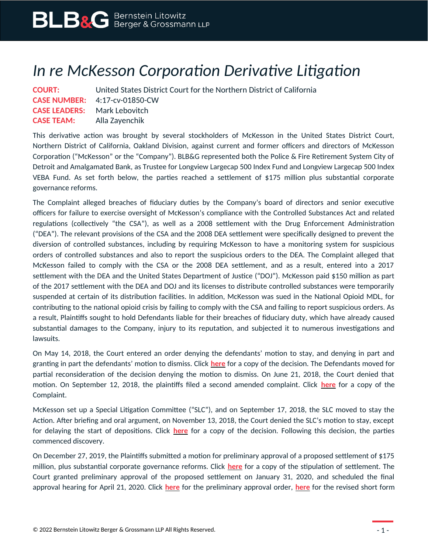## *In re McKesson Corporation Derivative Litigation*

| <b>COURT:</b>                       | United States District Court for the Northern District of California |
|-------------------------------------|----------------------------------------------------------------------|
|                                     | <b>CASE NUMBER:</b> $4:17$ -cv-01850-CW                              |
| <b>CASE LEADERS:</b> Mark Lebovitch |                                                                      |
| <b>CASE TEAM:</b> Alla Zayenchik    |                                                                      |

This derivative action was brought by several stockholders of McKesson in the United States District Court, Northern District of California, Oakland Division, against current and former officers and directors of McKesson Corporation ("McKesson" or the "Company"). BLB&G represented both the Police & Fire Retirement System City of Detroit and Amalgamated Bank, as Trustee for Longview Largecap 500 Index Fund and Longview Largecap 500 Index VEBA Fund. As set forth below, the parties reached a settlement of \$175 million plus substantial corporate governance reforms.

The Complaint alleged breaches of fiduciary duties by the Company's board of directors and senior executive officers for failure to exercise oversight of McKesson's compliance with the Controlled Substances Act and related regulations (collectively "the CSA"), as well as a 2008 settlement with the Drug Enforcement Administration ("DEA"). The relevant provisions of the CSA and the 2008 DEA settlement were specifically designed to prevent the diversion of controlled substances, including by requiring McKesson to have a monitoring system for suspicious orders of controlled substances and also to report the suspicious orders to the DEA. The Complaint alleged that McKesson failed to comply with the CSA or the 2008 DEA settlement, and as a result, entered into a 2017 settlement with the DEA and the United States Department of Justice ("DOJ"). McKesson paid \$150 million as part of the 2017 settlement with the DEA and DOJ and its licenses to distribute controlled substances were temporarily suspended at certain of its distribution facilities. In addition, McKesson was sued in the National Opioid MDL, for contributing to the national opioid crisis by failing to comply with the CSA and failing to report suspicious orders. As a result, Plaintiffs sought to hold Defendants liable for their breaches of fiduciary duty, which have already caused substantial damages to the Company, injury to its reputation, and subjected it to numerous investigations and lawsuits.

On May 14, 2018, the Court entered an order denying the defendants' motion to stay, and denying in part and granting in part the defendants' motion to dismiss. Click **[here](https://www.blbglaw.com/cases/mckesson-corporation/_res/id=Attachments/index=1/May%2024,%202018%20Motion%20to%20Dismiss%20Decision.pdf)** for a copy of the decision. The Defendants moved for partial reconsideration of the decision denying the motion to dismiss. On June 21, 2018, the Court denied that motion. On September 12, 2018, the plaintiffs filed a second amended complaint. Click **[here](https://www.blbglaw.com/cases/mckesson-corporation/_res/id=Attachments/index=6/September%2012,%202018%20Amended%20Complaint.pdf)** for a copy of the Complaint.

McKesson set up a Special Litigation Committee ("SLC"), and on September 17, 2018, the SLC moved to stay the Action. After briefing and oral argument, on November 13, 2018, the Court denied the SLC's motion to stay, except for delaying the start of depositions. Click **[here](https://www.blbglaw.com/cases/mckesson-corporation/_res/id=Attachments/index=5/November%2013,%202018%20Order%20Granting%20in%20Part%20and%20Denying%20in%20Part%20Motion%20to%20Stay.pdf)** for a copy of the decision. Following this decision, the parties commenced discovery.

On December 27, 2019, the Plaintiffs submitted a motion for preliminary approval of a proposed settlement of \$175 million, plus substantial corporate governance reforms. Click **[here](https://www.blbglaw.com/cases/mckesson-corporation/_res/id=Attachments/index=4/2019-12-27%20Dkt%20203#39;%20Notice%20of%20Motion%20and%20Motion%20for%20Preliminary%20Approval%20of%20Settleme__.pdf)** for a copy of the stipulation of settlement. The Court granted preliminary approval of the proposed settlement on January 31, 2020, and scheduled the final approval hearing for April 21, 2020. Click **[here](https://www.blbglaw.com/cases/mckesson-corporation/_res/id=Attachments/index=1/Preliminary%20Approval%20Of%20Settlement.pdf)** for the preliminary approval order, **[here](https://www.blbglaw.com/cases/mckesson-corporation/_res/id=Attachments/index=3/Summary%20Notice.pdf)** for the revised short form